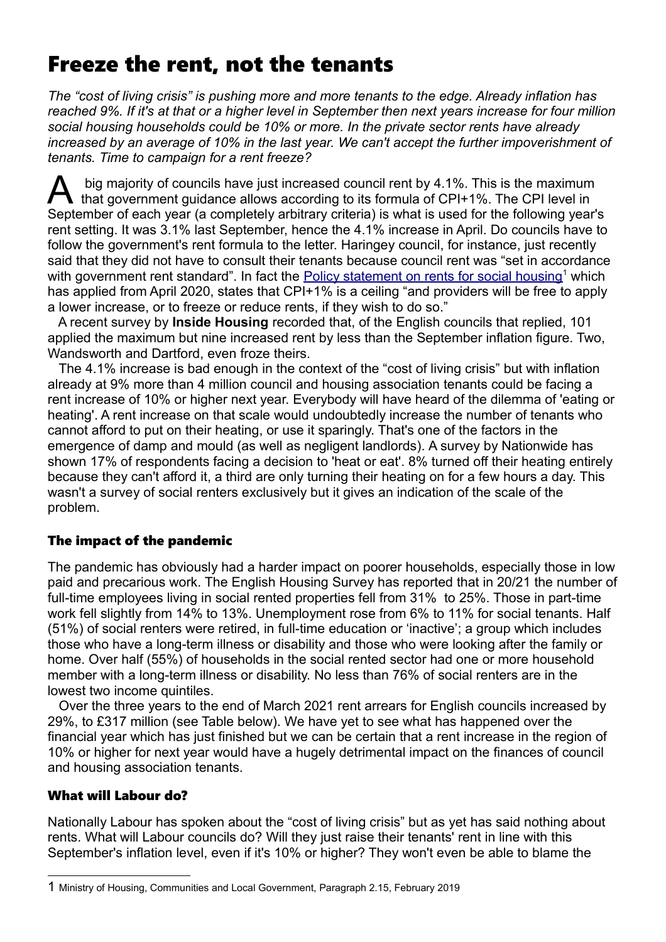# Freeze the rent, not the tenants

*The "cost of living crisis" is pushing more and more tenants to the edge. Already inflation has reached 9%. If it's at that or a higher level in September then next years increase for four million social housing households could be 10% or more. In the private sector rents have already increased by an average of 10% in the last year. We can't accept the further impoverishment of tenants. Time to campaign for a rent freeze?*

 big majority of councils have just increased council rent by 4.1%. This is the maximum that government guidance allows according to its formula of CPI+1%. The CPI level in September of each year (a completely arbitrary criteria) is what is used for the following year's rent setting. It was 3.1% last September, hence the 4.1% increase in April. Do councils have to follow the government's rent formula to the letter. Haringey council, for instance, just recently said that they did not have to consult their tenants because council rent was "set in accordance with government rent standard". In fact the <u>Policy statement on rents for social housing</u><sup>[1](#page-0-0)</sup> which has applied from April 2020, states that CPI+1% is a ceiling "and providers will be free to apply a lower increase, or to freeze or reduce rents, if they wish to do so." A

 A recent survey by **Inside Housing** recorded that, of the English councils that replied, 101 applied the maximum but nine increased rent by less than the September inflation figure. Two, Wandsworth and Dartford, even froze theirs.

 The 4.1% increase is bad enough in the context of the "cost of living crisis" but with inflation already at 9% more than 4 million council and housing association tenants could be facing a rent increase of 10% or higher next year. Everybody will have heard of the dilemma of 'eating or heating'. A rent increase on that scale would undoubtedly increase the number of tenants who cannot afford to put on their heating, or use it sparingly. That's one of the factors in the emergence of damp and mould (as well as negligent landlords). A survey by Nationwide has shown 17% of respondents facing a decision to 'heat or eat'. 8% turned off their heating entirely because they can't afford it, a third are only turning their heating on for a few hours a day. This wasn't a survey of social renters exclusively but it gives an indication of the scale of the problem.

# The impact of the pandemic

The pandemic has obviously had a harder impact on poorer households, especially those in low paid and precarious work. The English Housing Survey has reported that in 20/21 the number of full-time employees living in social rented properties fell from 31% to 25%. Those in part-time work fell slightly from 14% to 13%. Unemployment rose from 6% to 11% for social tenants. Half (51%) of social renters were retired, in full-time education or 'inactive'; a group which includes those who have a long-term illness or disability and those who were looking after the family or home. Over half (55%) of households in the social rented sector had one or more household member with a long-term illness or disability. No less than 76% of social renters are in the lowest two income quintiles.

 Over the three years to the end of March 2021 rent arrears for English councils increased by 29%, to £317 million (see Table below). We have yet to see what has happened over the financial year which has just finished but we can be certain that a rent increase in the region of 10% or higher for next year would have a hugely detrimental impact on the finances of council and housing association tenants.

## What will Labour do?

Nationally Labour has spoken about the "cost of living crisis" but as yet has said nothing about rents. What will Labour councils do? Will they just raise their tenants' rent in line with this September's inflation level, even if it's 10% or higher? They won't even be able to blame the

<span id="page-0-0"></span><sup>1</sup> Ministry of Housing, Communities and Local Government, Paragraph 2.15, February 2019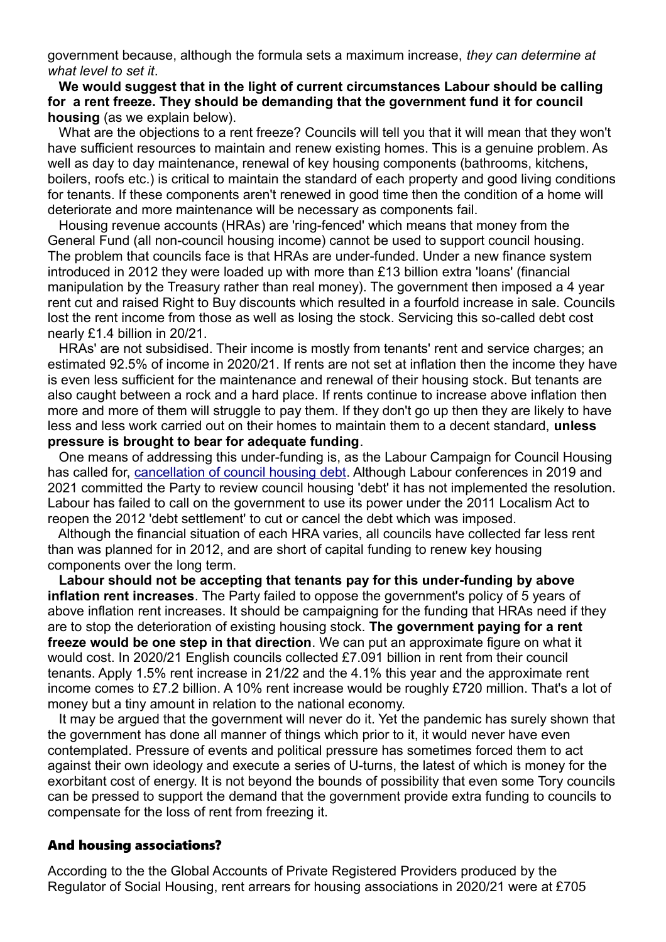government because, although the formula sets a maximum increase, *they can determine at what level to set it*.

 **We would suggest that in the light of current circumstances Labour should be calling for a rent freeze. They should be demanding that the government fund it for council housing** (as we explain below).

 What are the objections to a rent freeze? Councils will tell you that it will mean that they won't have sufficient resources to maintain and renew existing homes. This is a genuine problem. As well as day to day maintenance, renewal of key housing components (bathrooms, kitchens, boilers, roofs etc.) is critical to maintain the standard of each property and good living conditions for tenants. If these components aren't renewed in good time then the condition of a home will deteriorate and more maintenance will be necessary as components fail.

 Housing revenue accounts (HRAs) are 'ring-fenced' which means that money from the General Fund (all non-council housing income) cannot be used to support council housing. The problem that councils face is that HRAs are under-funded. Under a new finance system introduced in 2012 they were loaded up with more than £13 billion extra 'loans' (financial manipulation by the Treasury rather than real money). The government then imposed a 4 year rent cut and raised Right to Buy discounts which resulted in a fourfold increase in sale. Councils lost the rent income from those as well as losing the stock. Servicing this so-called debt cost nearly £1.4 billion in 20/21.

 HRAs' are not subsidised. Their income is mostly from tenants' rent and service charges; an estimated 92.5% of income in 2020/21. If rents are not set at inflation then the income they have is even less sufficient for the maintenance and renewal of their housing stock. But tenants are also caught between a rock and a hard place. If rents continue to increase above inflation then more and more of them will struggle to pay them. If they don't go up then they are likely to have less and less work carried out on their homes to maintain them to a decent standard, **unless pressure is brought to bear for adequate funding**.

 One means of addressing this under-funding is, as the Labour Campaign for Council Housing has called for, [cancellation of council housing debt.](https://thelabourcampaignforcouncilhousing.files.wordpress.com/2021/02/caseforcancellingchdebt.pdf) Although Labour conferences in 2019 and 2021 committed the Party to review council housing 'debt' it has not implemented the resolution. Labour has failed to call on the government to use its power under the 2011 Localism Act to reopen the 2012 'debt settlement' to cut or cancel the debt which was imposed.

 Although the financial situation of each HRA varies, all councils have collected far less rent than was planned for in 2012, and are short of capital funding to renew key housing components over the long term.

 **Labour should not be accepting that tenants pay for this under-funding by above inflation rent increases**. The Party failed to oppose the government's policy of 5 years of above inflation rent increases. It should be campaigning for the funding that HRAs need if they are to stop the deterioration of existing housing stock. **The government paying for a rent freeze would be one step in that direction**. We can put an approximate figure on what it would cost. In 2020/21 English councils collected £7.091 billion in rent from their council tenants. Apply 1.5% rent increase in 21/22 and the 4.1% this year and the approximate rent income comes to £7.2 billion. A 10% rent increase would be roughly £720 million. That's a lot of money but a tiny amount in relation to the national economy.

 It may be argued that the government will never do it. Yet the pandemic has surely shown that the government has done all manner of things which prior to it, it would never have even contemplated. Pressure of events and political pressure has sometimes forced them to act against their own ideology and execute a series of U-turns, the latest of which is money for the exorbitant cost of energy. It is not beyond the bounds of possibility that even some Tory councils can be pressed to support the demand that the government provide extra funding to councils to compensate for the loss of rent from freezing it.

#### And housing associations?

According to the the Global Accounts of Private Registered Providers produced by the Regulator of Social Housing, rent arrears for housing associations in 2020/21 were at £705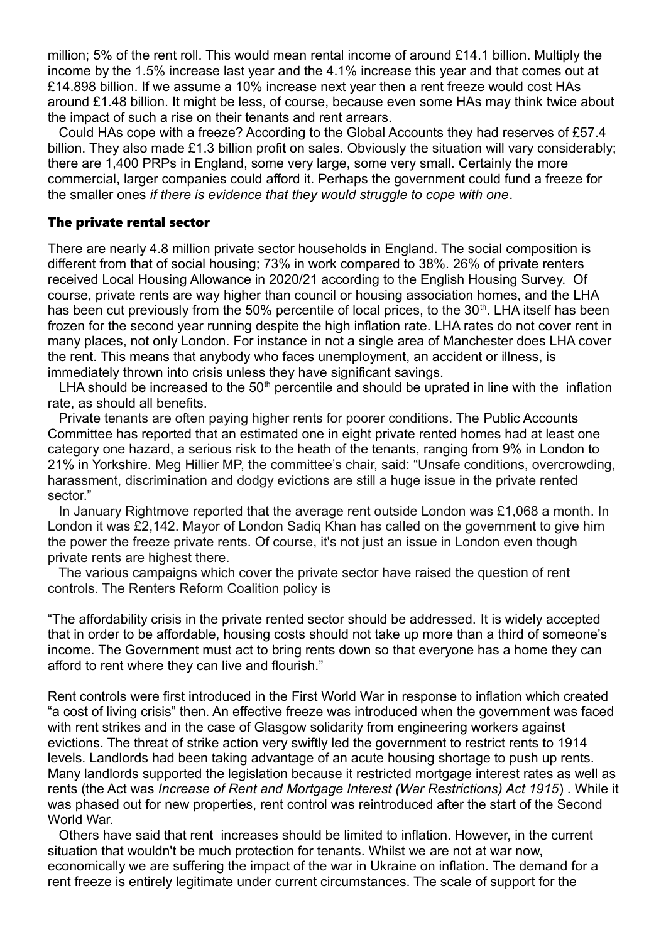million; 5% of the rent roll. This would mean rental income of around £14.1 billion. Multiply the income by the 1.5% increase last year and the 4.1% increase this year and that comes out at £14.898 billion. If we assume a 10% increase next year then a rent freeze would cost HAs around £1.48 billion. It might be less, of course, because even some HAs may think twice about the impact of such a rise on their tenants and rent arrears.

 Could HAs cope with a freeze? According to the Global Accounts they had reserves of £57.4 billion. They also made £1.3 billion profit on sales. Obviously the situation will vary considerably; there are 1,400 PRPs in England, some very large, some very small. Certainly the more commercial, larger companies could afford it. Perhaps the government could fund a freeze for the smaller ones *if there is evidence that they would struggle to cope with one*.

## The private rental sector

There are nearly 4.8 million private sector households in England. The social composition is different from that of social housing; 73% in work compared to 38%. 26% of private renters received Local Housing Allowance in 2020/21 according to the English Housing Survey. Of course, private rents are way higher than council or housing association homes, and the LHA has been cut previously from the 50% percentile of local prices, to the  $30<sup>th</sup>$ . LHA itself has been frozen for the second year running despite the high inflation rate. LHA rates do not cover rent in many places, not only London. For instance in not a single area of Manchester does LHA cover the rent. This means that anybody who faces unemployment, an accident or illness, is immediately thrown into crisis unless they have significant savings.

LHA should be increased to the  $50<sup>th</sup>$  percentile and should be uprated in line with the inflation rate, as should all benefits.

 Private tenants are often paying higher rents for poorer conditions. The Public Accounts Committee has reported that an estimated one in eight private rented homes had at least one category one hazard, a serious risk to the heath of the tenants, ranging from 9% in London to 21% in Yorkshire. Meg Hillier MP, the committee's chair, said: "Unsafe conditions, overcrowding, harassment, discrimination and dodgy evictions are still a huge issue in the private rented sector."

 In January Rightmove reported that the average rent outside London was £1,068 a month. In London it was £2,142. Mayor of London Sadiq Khan has called on the government to give him the power the freeze private rents. Of course, it's not just an issue in London even though private rents are highest there.

 The various campaigns which cover the private sector have raised the question of rent controls. The Renters Reform Coalition policy is

"The affordability crisis in the private rented sector should be addressed. It is widely accepted that in order to be affordable, housing costs should not take up more than a third of someone's income. The Government must act to bring rents down so that everyone has a home they can afford to rent where they can live and flourish."

Rent controls were first introduced in the First World War in response to inflation which created "a cost of living crisis" then. An effective freeze was introduced when the government was faced with rent strikes and in the case of Glasgow solidarity from engineering workers against evictions. The threat of strike action very swiftly led the government to restrict rents to 1914 levels. Landlords had been taking advantage of an acute housing shortage to push up rents. Many landlords supported the legislation because it restricted mortgage interest rates as well as rents (the Act was *Increase of Rent and Mortgage Interest (War Restrictions) Act 1915*) . While it was phased out for new properties, rent control was reintroduced after the start of the Second World War.

 Others have said that rent increases should be limited to inflation. However, in the current situation that wouldn't be much protection for tenants. Whilst we are not at war now, economically we are suffering the impact of the war in Ukraine on inflation. The demand for a rent freeze is entirely legitimate under current circumstances. The scale of support for the